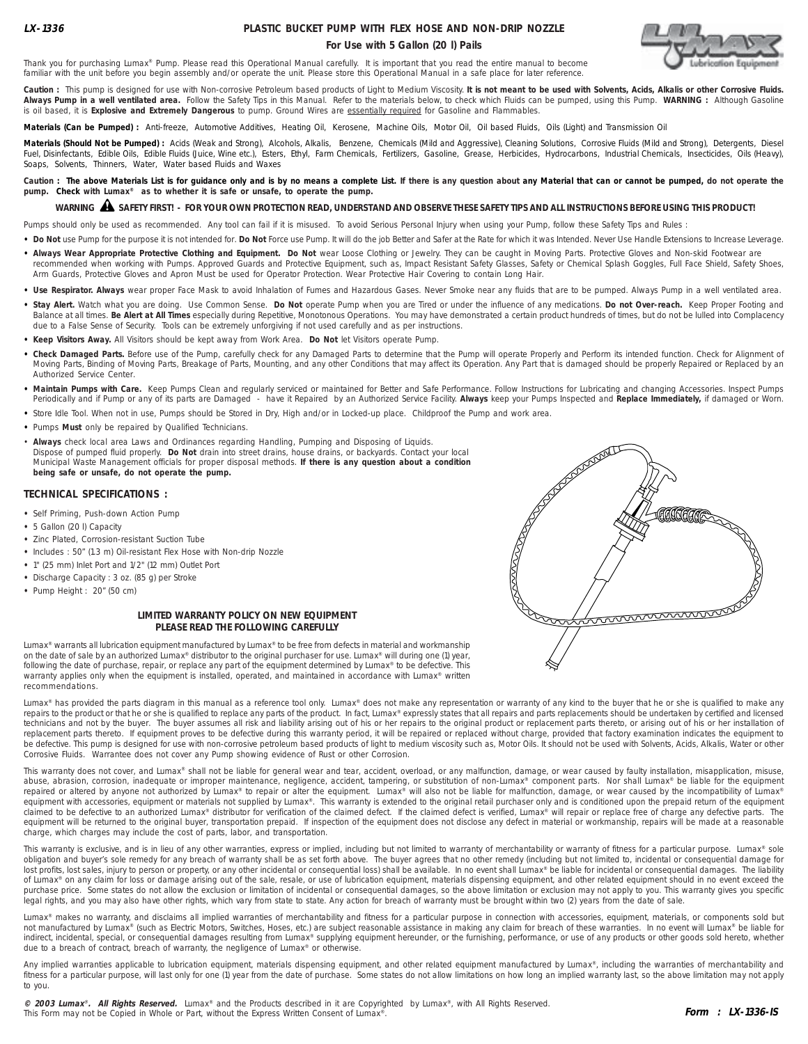## **PLASTIC BUCKET PUMP WITH FLEX HOSE AND NON-DRIP NOZZLE For Use with 5 Gallon (20 l) Pails**



Thank you for purchasing Lumax® Pump. Please read this Operational Manual carefully. It is important that you read the entire manual to become familiar with the unit before you begin assembly and/or operate the unit. Please store this Operational Manual in a safe place for later reference.

Caution : This pump is designed for use with Non-corrosive Petroleum based products of Light to Medium Viscosity. It is not meant to be used with Solvents, Acids, Alkalis or other Corrosive Fluids. **Always Pump in a well ventilated area.** Follow the Safety Tips in this Manual. Refer to the materials below, to check which Fluids can be pumped, using this Pump. **WARNING :** Although Gasoline is oil based, it is **Explosive and Extremely Dangerous** to pump. Ground Wires are essentially required for Gasoline and Flammables.

Materials (Can be Pumped) : Anti-freeze, Automotive Additives, Heating Oil, Kerosene, Machine Oils, Motor Oil, Oil based Fluids, Oils (Light) and Transmission Oil

**Materials (Should Not be Pumped) :** Acids (Weak and Strong), Alcohols, Alkalis, Benzene, Chemicals (Mild and Aggressive), Cleaning Solutions, Corrosive Fluids (Mild and Strong), Detergents, Diesel Fuel, Disinfectants, Edible Oils, Edible Fluids (Juice, Wine etc.), Esters, Ethyl, Farm Chemicals, Fertilizers, Gasoline, Grease, Herbicides, Hydrocarbons, Industrial Chemicals, Insecticides, Oils (Heavy), Soaps, Solvents, Thinners, Water, Water based Fluids and Waxes

Caution : The above Materials List is for guidance only and is by no means a complete List. If there is any question about any Material that can or cannot be pumped, do not operate the **pump. Check with Lumax® as to whether it is safe or unsafe, to operate the pump.**

# **WARNING SAFETY FIRST! - FOR YOUR OWN PROTECTION READ, UNDERSTAND AND OBSERVE THESE SAFETY TIPS AND ALL INSTRUCTIONS BEFORE USING THIS PRODUCT!** !

Pumps should only be used as recommended. Any tool can fail if it is misused. To avoid Serious Personal Injury when using your Pump, follow these Safety Tips and Rules :

- . Do Not use Pump for the purpose it is not intended for. Do Not Force use Pump. It will do the job Better and Safer at the Rate for which it was Intended. Never Use Handle Extensions to Increase Leverage.
- . Always Wear Appropriate Protective Clothing and Equipment. Do Not wear Loose Clothing or Jewelry. They can be caught in Moving Parts. Protective Gloves and Non-skid Footwear are recommended when working with Pumps. Approved Guards and Protective Equipment, such as, Impact Resistant Safety Glasses, Safety or Chemical Splash Goggles, Full Face Shield, Safety Shoes, Arm Guards, Protective Gloves and Apron Must be used for Operator Protection. Wear Protective Hair Covering to contain Long Hair.
- Use Respirator. Always wear proper Face Mask to avoid Inhalation of Fumes and Hazardous Gases. Never Smoke near any fluids that are to be pumped. Always Pump in a well ventilated area.
- **• Stay Alert.** Watch what you are doing. Use Common Sense. **Do Not** operate Pump when you are Tired or under the influence of any medications. **Do not Over-reach.** Keep Proper Footing and Balance at all times. **Be Alert at All Times** especially during Repetitive, Monotonous Operations. You may have demonstrated a certain product hundreds of times, but do not be lulled into Complacency due to a False Sense of Security. Tools can be extremely unforgiving if not used carefully and as per instructions.
- **• Keep Visitors Away.** All Visitors should be kept away from Work Area. **Do Not** let Visitors operate Pump.
- **• Check Damaged Parts.** Before use of the Pump, carefully check for any Damaged Parts to determine that the Pump will operate Properly and Perform its intended function. Check for Alignment of Moving Parts, Binding of Moving Parts, Breakage of Parts, Mounting, and any other Conditions that may affect its Operation. Any Part that is damaged should be properly Repaired or Replaced by an Authorized Service Center.
- **• Maintain Pumps with Care.** Keep Pumps Clean and regularly serviced or maintained for Better and Safe Performance. Follow Instructions for Lubricating and changing Accessories. Inspect Pumps Periodically and if Pump or any of its parts are Damaged - have it Repaired by an Authorized Service Facility. **Always** keep your Pumps Inspected and **Replace Immediately,** if damaged or Worn.
- 
- **•** Pumps **Must** only be repaired by Qualified Technicians.
- **Always** check local area Laws and Ordinances regarding Handling, Pumping and Disposing of Liquids. Dispose of pumped fluid properly. **Do Not** drain into street drains, house drains, or backyards. Contact your local Municipal Waste Management officials for proper disposal methods. **If there is any question about a condition being safe or unsafe, do not operate the pump.**

#### **TECHNICAL SPECIFICATIONS :**

- **•** Self Priming, Push-down Action Pump
- **•** 5 Gallon (20 l) Capacity
- **•** Zinc Plated, Corrosion-resistant Suction Tube
- **•** Includes : 50" (1.3 m) Oil-resistant Flex Hose with Non-drip Nozzle
- **•** 1" (25 mm) Inlet Port and 1/2" (12 mm) Outlet Port
- **•** Discharge Capacity : 3 oz. (85 g) per Stroke
- **•** Pump Height : 20" (50 cm)

#### **LIMITED WARRANTY POLICY ON NEW EQUIPMENT PLEASE READ THE FOLLOWING CAREFULLY**

Lumax® warrants all lubrication equipment manufactured by Lumax® to be free from defects in material and workmanship on the date of sale by an authorized Lumax® distributor to the original purchaser for use. Lumax® will during one (1) year, following the date of purchase, repair, or replace any part of the equipment determined by Lumax® to be defective. This warranty applies only when the equipment is installed, operated, and maintained in accordance with Lumax® written recommendations.



Lumax® has provided the parts diagram in this manual as a reference tool only. Lumax® does not make any representation or warranty of any kind to the buyer that he or she is qualified to make any repairs to the product or that he or she is qualified to replace any parts of the product. In fact, Lumax® expressly states that all repairs and parts replacements should be undertaken by certified and licensed technicians and not by the buyer. The buyer assumes all risk and liability arising out of his or her repairs to the original product or replacement parts thereto, or arising out of his or her installation of replacement parts thereto. If equipment proves to be defective during this warranty period, it will be repaired or replaced without charge, provided that factory examination indicates the equipment to be defective. This pump is designed for use with non-corrosive petroleum based products of light to medium viscosity such as, Motor Oils. It should not be used with Solvents, Acids, Alkalis, Water or other Corrosive Fluids. Warrantee does not cover any Pump showing evidence of Rust or other Corrosion.

This warranty does not cover, and Lumax® shall not be liable for general wear and tear, accident, overload, or any malfunction, damage, or wear caused by faulty installation, misapplication, misuse, abuse, abuse, abrasion, equipment will be returned to the original buyer, transportation prepaid. If inspection of the equipment does not disclose any defect in material or workmanship, repairs will be made at a reasonable charge, which charges may include the cost of parts, labor, and transportation.

This warranty is exclusive, and is in lieu of any other warranties, express or implied, including but not limited to warranty of merchantability or warranty of fitness for a particular purpose. Lumax® sole obligation and buyer's sole remedy for any breach of warranty shall be as set forth above. The buyer agrees that no other remedy (including but not limited to, incidental or consequential damage for lost profits, lost sales, injury to person or property, or any other incidental or consequential loss) shall be available. In no event shall Lumax® be liable for incidental or consequential damages. The liability of Lumax® on any claim for loss or damage arising out of the sale, resale, or use of lubrication equipment, materials dispensing equipment, and other related equipment should in no event exceed the purchase price. Some states do not allow the exclusion or limitation of incidental or consequential damages, so the above limitation or exclusion may not apply to you. This warranty gives you specific legal rights, and you may also have other rights, which vary from state to state. Any action for breach of warranty must be brought within two (2) years from the date of sale.

Lumax® makes no warranty, and disclaims all implied warranties of merchantability and fitness for a particular purpose in connection with accessories, equipment, materials, or components sold but not manufactured by Lumax® (such as Electric Motors, Switches, Hoses, etc.) are subject reasonable assistance in making any claim for breach of these warranties. In no event will Lumax® be liable for indirect, incidental, special, or consequential damages resulting from Lumax® supplying equipment hereunder, or the furnishing, performance, or use of any products or other goods sold hereto, whether due to a breach of contract, breach of warranty, the negligence of Lumax® or otherwise.

Any implied warranties applicable to lubrication equipment, materials dispensing equipment, and other related equipment manufactured by Lumax®, including the warranties of merchantability and fitness for a particular purpose, will last only for one (1) year from the date of purchase. Some states do not allow limitations on how long an implied warranty last, so the above limitation may not apply to you.

**© 2003 Lumax**® **. All Rights Reserved.** Lumax® and the Products described in it are Copyrighted by Lumax®, with All Rights Reserved. This Form may not be Copied in Whole or Part, without the Express Written Consent of Lumax<sup>®</sup>.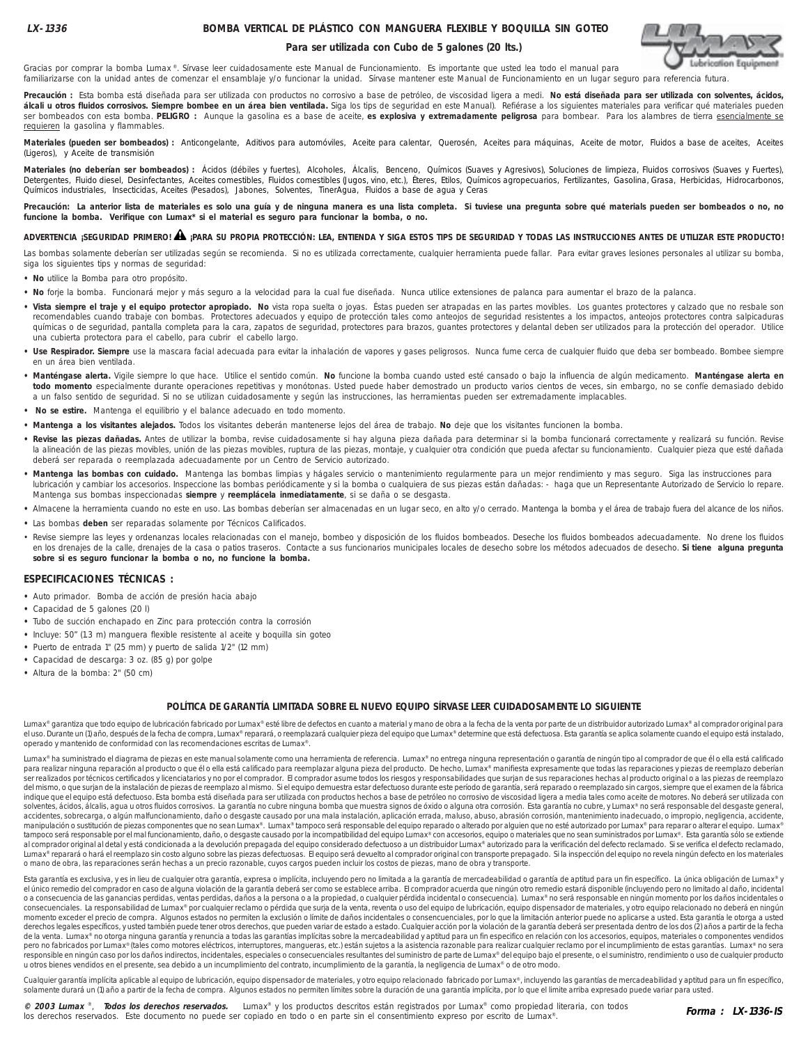### **BOMBA VERTICAL DE PLÁSTICO CON MANGUERA FLEXIBLE Y BOQUILLA SIN GOTEO**

#### **Para ser utilizada con Cubo de 5 galones (20 lts.)**



Gracias por comprar la bomba Lumax ®. Sírvase leer cuidadosamente este Manual de Funcionamiento. Es importante que usted lea todo el manual para familiarizarse con la unidad antes de comenzar el ensamblaje y/o funcionar la unidad. Sírvase mantener este Manual de Funcionamiento en un lugar seguro para referencia futura.

**Precaución :** Esta bomba está diseñada para ser utilizada con productos no corrosivo a base de petróleo, de viscosidad ligera a medi. **No está diseñada para ser utilizada con solventes, ácidos,** álcali u otros fluidos corrosivos. Siempre bombee en un área bien ventilada. Siga los tips de seguridad en este Manual). Refiérase a los siguientes materiales para verificar qué materiales pueden ser bombeados con esta bomba. **PELIGRO :** Aunque la gasolina es a base de aceite, **es explosiva y extremadamente peligrosa** para bombear. Para los alambres de tierra esencialmente se requieren la gasolina y flammables.

Materiales (pueden ser bombeados) : Anticongelante, Aditivos para automóviles, Aceite para calentar, Querosén, Aceites para máquinas, Aceite de motor, Fluidos a base de aceites, Aceites (Ligeros), y Aceite de transmisión

Materiales (no deberían ser bombeados) : Ácidos (débiles y fuertes), Alcoholes, Álcalis, Benceno, Químicos (Suaves y Agresivos), Soluciones de limpieza, Fluidos corrosivos (Suaves y Fuertes), Detergentes, Fluido diesel, Desinfectantes, Aceites comestibles, Fluidos comestibles (Jugos, vino, etc.), Éteres, Etilos, Químicos agropecuarios, Fertilizantes, Gasolina, Grasa, Herbicidas, Hidrocarbonos, Químicos industriales, Insecticidas, Aceites (Pesados), Jabones, Solventes, TinerAgua, Fluidos a base de agua y Ceras

Precaución: La anterior lista de materiales es solo una guía y de ninguna manera es una lista completa. Si tuviese una pregunta sobre qué materials pueden ser bombeados o no, no **funcione la bomba. Verifique con Lumax\* si el material es seguro para funcionar la bomba, o no.**

## **ADVERTENCIA ¡SEGURIDAD PRIMERO! ¡PARA SU PROPIA PROTECCIÓN: LEA, ENTIENDA Y SIGA ESTOS TIPS DE SEGURIDAD Y TODAS LAS INSTRUCCIONES ANTES DE UTILIZAR ESTE PRODUCTO!** !

Las bombas solamente deberían ser utilizadas según se recomienda. Si no es utilizada correctamente, cualquier herramienta puede fallar. Para evitar graves lesiones personales al utilizar su bomba, siga los siguientes tips y normas de seguridad:

- **No** utilice la Bomba para otro propósito.
- **No** forje la bomba. Funcionará mejor y más seguro a la velocidad para la cual fue diseñada. Nunca utilice extensiones de palanca para aumentar el brazo de la palanca.
- **Vista siempre el traje y el equipo protector apropiado. No** vista ropa suelta o joyas. Éstas pueden ser atrapadas en las partes movibles. Los guantes protectores y calzado que no resbale son recomendables cuando trabaje con bombas. Protectores adecuados y equipo de protección tales como anteojos de seguridad resistentes a los impactos, anteojos protectores contra salpicaduras químicas o de seguridad, pantalla completa para la cara, zapatos de seguridad, protectores para brazos, guantes protectores y delantal deben ser utilizados para la protección del operador. Utilice una cubierta protectora para el cabello, para cubrir el cabello largo.
- **Use Respirador. Siempre** use la mascara facial adecuada para evitar la inhalación de vapores y gases peligrosos. Nunca fume cerca de cualquier fluido que deba ser bombeado. Bombee siempre en un área bien ventilada.
- **Manténgase alerta.** Vigile siempre lo que hace. Utilice el sentido común. **No** funcione la bomba cuando usted esté cansado o bajo la influencia de algún medicamento. **Manténgase alerta en todo momento** especialmente durante operaciones repetitivas y monótonas. Usted puede haber demostrado un producto varios cientos de veces, sin embargo, no se confíe demasiado debido a un falso sentido de seguridad. Si no se utilizan cuidadosamente y según las instrucciones, las herramientas pueden ser extremadamente implacables.
- **No se estire.** Mantenga el equilibrio y el balance adecuado en todo momento.
- **Mantenga a los visitantes alejados.** Todos los visitantes deberán mantenerse lejos del área de trabajo. **No** deje que los visitantes funcionen la bomba.
- **Revise las piezas dañadas.** Antes de utilizar la bomba, revise cuidadosamente si hay alguna pieza dañada para determinar si la bomba funcionará correctamente y realizará su función. Revise la alineación de las piezas movibles, unión de las piezas movibles, ruptura de las piezas, montaje, y cualquier otra condición que pueda afectar su funcionamiento. Cualquier pieza que esté dañada deberá ser reparada o reemplazada adecuadamente por un Centro de Servicio autorizado.
- **Mantenga las bombas con cuidado.** Mantenga las bombas limpias y hágales servicio o mantenimiento regularmente para un mejor rendimiento y mas seguro. Siga las instrucciones para lubricación y cambiar los accesorios. Inspeccione las bombas periódicamente y si la bomba o cualquiera de sus piezas están dañadas: - haga que un Representante Autorizado de Servicio lo repare. Mantenga sus bombas inspeccionadas **siempre** y **reemplácela inmediatamente**, si se daña o se desgasta.
- **•** Almacene la herramienta cuando no este en uso. Las bombas deberían ser almacenadas en un lugar seco, en alto y/o cerrado. Mantenga la bomba y el área de trabajo fuera del alcance de los niños.
- **•** Las bombas **deben** ser reparadas solamente por Técnicos Calificados.
- · Revise siempre las leyes y ordenanzas locales relacionadas con el manejo, bombeo y disposición de los fluidos bombeados. Deseche los fluidos bombeados adecuadamente. No drene los fluidos en los drenajes de la calle, drenajes de la casa o patios traseros. Contacte a sus funcionarios municipales locales de desecho sobre los métodos adecuados de desecho. **Si tiene alguna pregunta sobre si es seguro funcionar la bomba o no, no funcione la bomba.**

#### **ESPECIFICACIONES TÉCNICAS :**

- **•** Auto primador. Bomba de acción de presión hacia abajo
- **•** Capacidad de 5 galones (20 l)
- **•** Tubo de succión enchapado en Zinc para protección contra la corrosión
- **•** Incluye: 50" (1.3 m) manguera flexible resistente al aceite y boquilla sin goteo
- **•** Puerto de entrada 1" (25 mm) y puerto de salida 1/2" (12 mm)
- **•** Capacidad de descarga: 3 oz. (85 g) por golpe
- **•** Altura de la bomba: 2" (50 cm)

#### **POLÍTICA DE GARANTÍA LIMITADA SOBRE EL NUEVO EQUIPO SÍRVASE LEER CUIDADOSAMENTE LO SIGUIENTE**

Lumax® garantiza que todo equipo de lubricación fabricado por Lumax® esté libre de defectos en cuanto a material y mano de obra a la fecha de la venta por parte de un distribuidor autorizado Lumax® al comprador original pa el uso. Durante un (1) año, después de la fecha de compra, Lumax® reparará, o reemplazará cualquier pieza del equipo que Lumax® determine que está defectuosa. Esta garantía se aplica solamente cuando el equipo está instala operado y mantenido de conformidad con las recomendaciones escritas de Lumax®.

Lumax® ha suministrado el diagrama de piezas en este manual solamente como una herramienta de referencia. Lumax® no entrega ninguna representación o garantía de ningún tipo al comprador de que él o ella está calificado para realizar ninguna reparación al producto o que él o ella está calificado para reemplazar alguna pieza del producto. De hecho, Lumax® manifiesta expresamente que todas las reparaciones y piezas de reemplazo deberían ser realizados por técnicos certificados y licenciatarios y no por el comprador. El comprador asume todos los riesgos y responsabilidades que surjan de sus reparaciones hechas al producto original o a las piezas de reemplazo del mismo, o que surjan de la instalación de piezas de reemplazo al mismo. Si el equipo demuestra esta defectuoso durante este período de garantía, será reparado o reemplazado sin cargos, siempre que el examen de la fábric solventes, ácidos, álcalis, agua u otros fluidos corrosivos. La garantía no cubre ninguna bomba que muestra signos de óxido o alguna otra corrosión. Esta garantía no cubre, y Lumax® no será responsable del desgaste general accidentes, sobrecarga, o algún malfuncionamiento, daño o desgaste causado por una mala instalación, aplicación errada, maluso, abuso, abrasión corrosión, mantenimiento inadecuado, o impropio, negligencia, accidente, manipulación o sustitución de piezas componentes que no sean Lumax®. Lumax® tampoco será responsable del equipo reparado o alterado por alguien que no esté autorizado por Lumax® para reparar o alterar el equipo. Lumax® tampoco será responsable por el mal funcionamiento, daño, o desgaste causado por la incompatibilidad del equipo Lumax® con accesorios, equipo o materiales que no sean suministrados por Lumax®. Esta garantía sólo se extiend al comprador original al detal y está condicionada a la devolución prepagada del equipo considerado defectuoso a un distribuidor Lumax® autorizado para la verificación del defecto reclamado. Si se verifica el defecto recla Lumax® reparará o hará el reemplazo sin costo alguno sobre las piezas defectuosas. El equipo será devuelto al comprador original con transporte prepagado. Si la inspección del equipo no revela ningún defecto en los materia o mano de obra, las reparaciones serán hechas a un precio razonable, cuyos cargos pueden incluir los costos de piezas, mano de obra y transporte.

Esta garantía es exclusiva, y es in lieu de cualquier otra garantía, expresa o implícita, incluyendo pero no limitada a la garantía de mercadeabilidad o garantía de aptitud para un fin específico. La única obligación de Lu el único remedio del comprador en caso de alguna violación de la garantía deberá ser como se establece arriba. El comprador acuerda que ningún otro remedio estará disponible (incluyendo pero no limitado al daño, incidental o a consecuencia de las ganancias perdidas, ventas perdidas, daños a la persona o a la propiedad, o cualquier pérdida incidental o consecuencia). Lumax® no será responsable en ningún momento por los daños incidentales o consecuenciales. La responsabilidad de Lumax® por cualquier reclamo o pérdida que surja de la venta, reventa o uso del equipo de lubricación, equipo dispensador de materiales, y otro equipo relacionado no deberá en ningún momento exceder el precio de compra. Algunos estados no permiten la exclusión o límite de daños incidentales o consencuenciales, por lo que la limitación anterior puede no aplicarse a usted. Esta garantía le otorga a usted de la venta. Lumax<sup>®</sup> no otorga ninguna garantía y renuncia a todas las garantías implícitas sobre la mercadeabilidad y aptitud para un fin especifico en relación con los accesorios, equipos, materiales o componentes vendi pero no fabricados por Lumax® (tales como motores eléctricos, interruptores, mangueras, etc.) están sujetos a la asistencia razonable para realizar cualquier reclamo por el incumplimiento de estas garantías. Lumax® no sera responsible en ningún caso por los daños indirectos, incidentales, especiales o consecuenciales resultantes del suministro de parte de Lumax® del equipo bajo el presente, o el suministro, rendimiento o uso de cualquier pro u otros bienes vendidos en el presente, sea debido a un incumplimiento del contrato, incumplimiento de la garantía, la negligencia de Lumax® o de otro modo.

Cualquier garantía implícita aplicable al equipo de lubricación, equipo dispensador de materiales, y otro equipo relacionado fabricado por Lumax®, incluyendo las garantías de mercadeabilidad y aptitud para un fin específic solamente durará un (1) año a partir de la fecha de compra. Algunos estados no permiten límites sobre la duración de una garantía implícita, por lo que el limite arriba expresado puede variar para usted.

**© 2003 Lumax** ®, **Todos los derechos reservados.** Lumax® y los productos descritos están registrados por Lumax® como propiedad literaria, con todos los derechos reservados. Este documento no puede ser copiado en todo o en parte sin el consentimiento expreso por escrito de Lumax®.